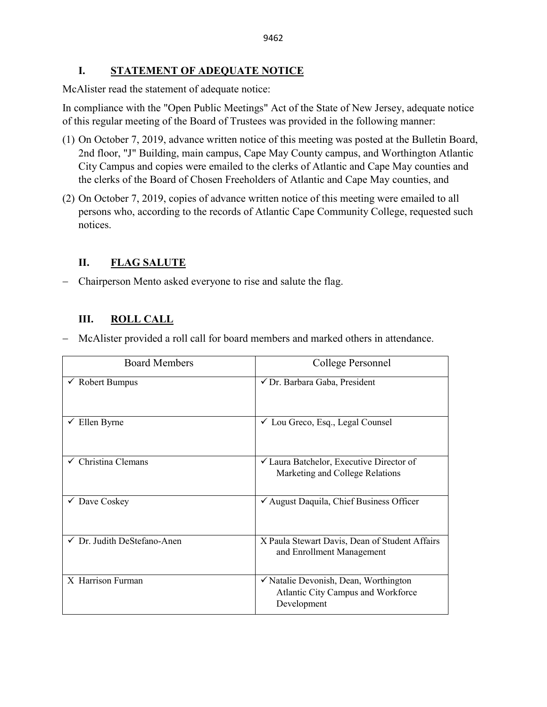# **I. STATEMENT OF ADEQUATE NOTICE**

McAlister read the statement of adequate notice:

In compliance with the "Open Public Meetings" Act of the State of New Jersey, adequate notice of this regular meeting of the Board of Trustees was provided in the following manner:

- (1) On October 7, 2019, advance written notice of this meeting was posted at the Bulletin Board, 2nd floor, "J" Building, main campus, Cape May County campus, and Worthington Atlantic City Campus and copies were emailed to the clerks of Atlantic and Cape May counties and the clerks of the Board of Chosen Freeholders of Atlantic and Cape May counties, and
- (2) On October 7, 2019, copies of advance written notice of this meeting were emailed to all persons who, according to the records of Atlantic Cape Community College, requested such notices.

# **II. FLAG SALUTE**

− Chairperson Mento asked everyone to rise and salute the flag.

# **III. ROLL CALL**

− McAlister provided a roll call for board members and marked others in attendance.

| <b>Board Members</b>                   | College Personnel                                                                          |
|----------------------------------------|--------------------------------------------------------------------------------------------|
| $\checkmark$ Robert Bumpus             | √ Dr. Barbara Gaba, President                                                              |
| Ellen Byrne                            | $\checkmark$ Lou Greco, Esq., Legal Counsel                                                |
| Christina Clemans                      | $\checkmark$ Laura Batchelor, Executive Director of<br>Marketing and College Relations     |
| $\checkmark$ Dave Coskey               | √ August Daquila, Chief Business Officer                                                   |
| $\checkmark$ Dr. Judith DeStefano-Anen | X Paula Stewart Davis, Dean of Student Affairs<br>and Enrollment Management                |
| X Harrison Furman                      | √ Natalie Devonish, Dean, Worthington<br>Atlantic City Campus and Workforce<br>Development |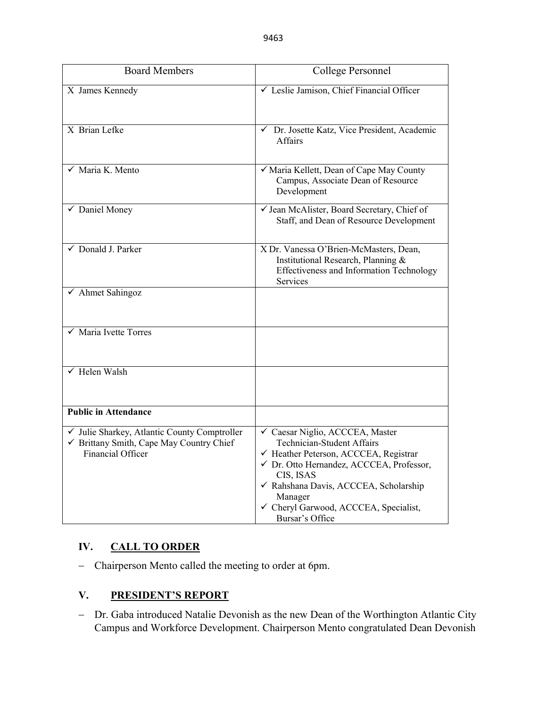| <b>Board Members</b>                                                                                          | College Personnel                                                                                                                                                                                                                                                                      |
|---------------------------------------------------------------------------------------------------------------|----------------------------------------------------------------------------------------------------------------------------------------------------------------------------------------------------------------------------------------------------------------------------------------|
| X James Kennedy                                                                                               | √ Leslie Jamison, Chief Financial Officer                                                                                                                                                                                                                                              |
| X Brian Lefke                                                                                                 | Dr. Josette Katz, Vice President, Academic<br>$\checkmark$<br><b>Affairs</b>                                                                                                                                                                                                           |
| $\sqrt{\phantom{a}}$ Maria K. Mento                                                                           | √ Maria Kellett, Dean of Cape May County<br>Campus, Associate Dean of Resource<br>Development                                                                                                                                                                                          |
| $\checkmark$ Daniel Money                                                                                     | √ Jean McAlister, Board Secretary, Chief of<br>Staff, and Dean of Resource Development                                                                                                                                                                                                 |
| $\sqrt{\phantom{a}}$ Donald J. Parker                                                                         | X Dr. Vanessa O'Brien-McMasters, Dean,<br>Institutional Research, Planning &<br>Effectiveness and Information Technology<br>Services                                                                                                                                                   |
| ✔ Ahmet Sahingoz                                                                                              |                                                                                                                                                                                                                                                                                        |
| $\checkmark$ Maria Ivette Torres                                                                              |                                                                                                                                                                                                                                                                                        |
| $\sqrt{\phantom{1}}$ Helen Walsh                                                                              |                                                                                                                                                                                                                                                                                        |
| <b>Public in Attendance</b>                                                                                   |                                                                                                                                                                                                                                                                                        |
| √ Julie Sharkey, Atlantic County Comptroller<br>✓ Brittany Smith, Cape May Country Chief<br>Financial Officer | √ Caesar Niglio, ACCCEA, Master<br><b>Technician-Student Affairs</b><br>√ Heather Peterson, ACCCEA, Registrar<br>√ Dr. Otto Hernandez, ACCCEA, Professor,<br>CIS, ISAS<br>√ Rahshana Davis, ACCCEA, Scholarship<br>Manager<br>← Cheryl Garwood, ACCCEA, Specialist,<br>Bursar's Office |

# **IV. CALL TO ORDER**

− Chairperson Mento called the meeting to order at 6pm.

# **V. PRESIDENT'S REPORT**

− Dr. Gaba introduced Natalie Devonish as the new Dean of the Worthington Atlantic City Campus and Workforce Development. Chairperson Mento congratulated Dean Devonish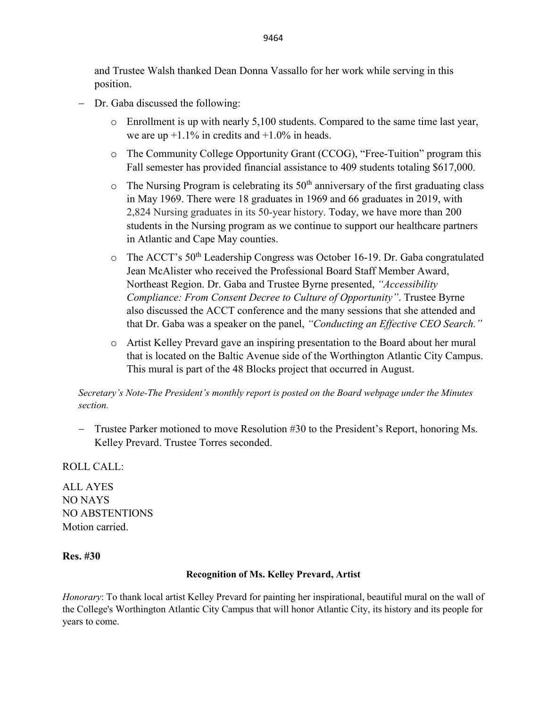and Trustee Walsh thanked Dean Donna Vassallo for her work while serving in this position.

- Dr. Gaba discussed the following:
	- o Enrollment is up with nearly 5,100 students. Compared to the same time last year, we are up  $+1.1\%$  in credits and  $+1.0\%$  in heads.
	- o The Community College Opportunity Grant (CCOG), "Free-Tuition" program this Fall semester has provided financial assistance to 409 students totaling \$617,000.
	- $\circ$  The Nursing Program is celebrating its 50<sup>th</sup> anniversary of the first graduating class in May 1969. There were 18 graduates in 1969 and 66 graduates in 2019, with 2,824 Nursing graduates in its 50-year history. Today, we have more than 200 students in the Nursing program as we continue to support our healthcare partners in Atlantic and Cape May counties.
	- o The ACCT's 50th Leadership Congress was October 16-19. Dr. Gaba congratulated Jean McAlister who received the Professional Board Staff Member Award, Northeast Region. Dr. Gaba and Trustee Byrne presented, *"Accessibility Compliance: From Consent Decree to Culture of Opportunity"*. Trustee Byrne also discussed the ACCT conference and the many sessions that she attended and that Dr. Gaba was a speaker on the panel, *"Conducting an Effective CEO Search."*
	- o Artist Kelley Prevard gave an inspiring presentation to the Board about her mural that is located on the Baltic Avenue side of the Worthington Atlantic City Campus. This mural is part of the 48 Blocks project that occurred in August.

*Secretary's Note-The President's monthly report is posted on the Board webpage under the Minutes section.*

− Trustee Parker motioned to move Resolution #30 to the President's Report, honoring Ms. Kelley Prevard. Trustee Torres seconded.

ROLL CALL:

ALL AYES NO NAYS NO ABSTENTIONS Motion carried.

# **Res. #30**

#### **Recognition of Ms. Kelley Prevard, Artist**

*Honorary*: To thank local artist Kelley Prevard for painting her inspirational, beautiful mural on the wall of the College's Worthington Atlantic City Campus that will honor Atlantic City, its history and its people for years to come.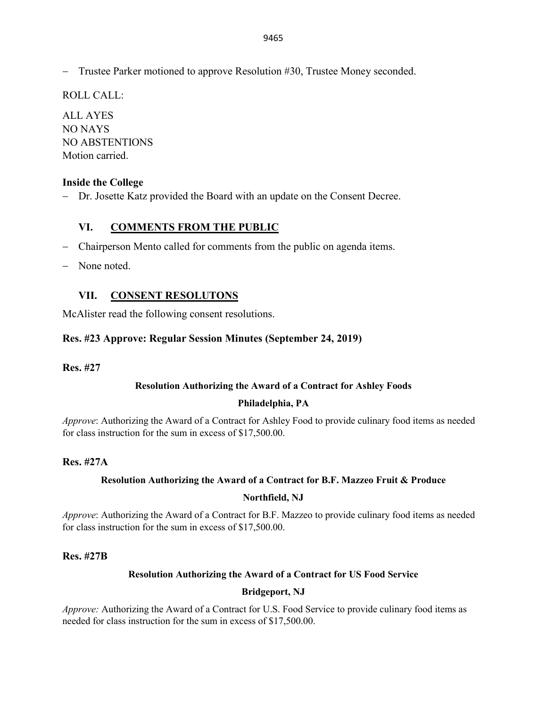− Trustee Parker motioned to approve Resolution #30, Trustee Money seconded.

ROLL CALL:

ALL AYES NO NAYS NO ABSTENTIONS Motion carried.

# **Inside the College**

− Dr. Josette Katz provided the Board with an update on the Consent Decree.

# **VI. COMMENTS FROM THE PUBLIC**

- − Chairperson Mento called for comments from the public on agenda items.
- − None noted.

# **VII. CONSENT RESOLUTONS**

McAlister read the following consent resolutions.

# **Res. #23 Approve: Regular Session Minutes (September 24, 2019)**

**Res. #27** 

# **Resolution Authorizing the Award of a Contract for Ashley Foods**

# **Philadelphia, PA**

*Approve*: Authorizing the Award of a Contract for Ashley Food to provide culinary food items as needed for class instruction for the sum in excess of \$17,500.00.

# **Res. #27A**

# **Resolution Authorizing the Award of a Contract for B.F. Mazzeo Fruit & Produce**

#### **Northfield, NJ**

*Approve*: Authorizing the Award of a Contract for B.F. Mazzeo to provide culinary food items as needed for class instruction for the sum in excess of \$17,500.00.

#### **Res. #27B**

# **Resolution Authorizing the Award of a Contract for US Food Service**

# **Bridgeport, NJ**

*Approve:* Authorizing the Award of a Contract for U.S. Food Service to provide culinary food items as needed for class instruction for the sum in excess of \$17,500.00.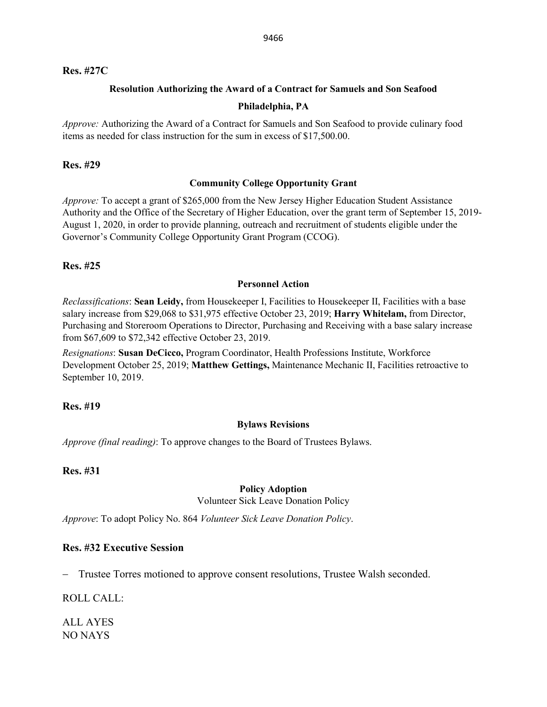#### **Res. #27C**

### **Resolution Authorizing the Award of a Contract for Samuels and Son Seafood**

#### **Philadelphia, PA**

*Approve:* Authorizing the Award of a Contract for Samuels and Son Seafood to provide culinary food items as needed for class instruction for the sum in excess of \$17,500.00.

#### **Res. #29**

#### **Community College Opportunity Grant**

*Approve:* To accept a grant of \$265,000 from the New Jersey Higher Education Student Assistance Authority and the Office of the Secretary of Higher Education, over the grant term of September 15, 2019- August 1, 2020, in order to provide planning, outreach and recruitment of students eligible under the Governor's Community College Opportunity Grant Program (CCOG).

# **Res. #25**

#### **Personnel Action**

*Reclassifications*: **Sean Leidy,** from Housekeeper I, Facilities to Housekeeper II, Facilities with a base salary increase from \$29,068 to \$31,975 effective October 23, 2019; **Harry Whitelam,** from Director, Purchasing and Storeroom Operations to Director, Purchasing and Receiving with a base salary increase from \$67,609 to \$72,342 effective October 23, 2019.

*Resignations*: **Susan DeCicco,** Program Coordinator, Health Professions Institute, Workforce Development October 25, 2019; **Matthew Gettings,** Maintenance Mechanic II, Facilities retroactive to September 10, 2019.

# **Res. #19**

# **Bylaws Revisions**

*Approve (final reading)*: To approve changes to the Board of Trustees Bylaws.

# **Res. #31**

#### **Policy Adoption**

Volunteer Sick Leave Donation Policy

*Approve*: To adopt Policy No. 864 *Volunteer Sick Leave Donation Policy*.

# **Res. #32 Executive Session**

Trustee Torres motioned to approve consent resolutions, Trustee Walsh seconded.

ROLL CALL:

ALL AYES NO NAYS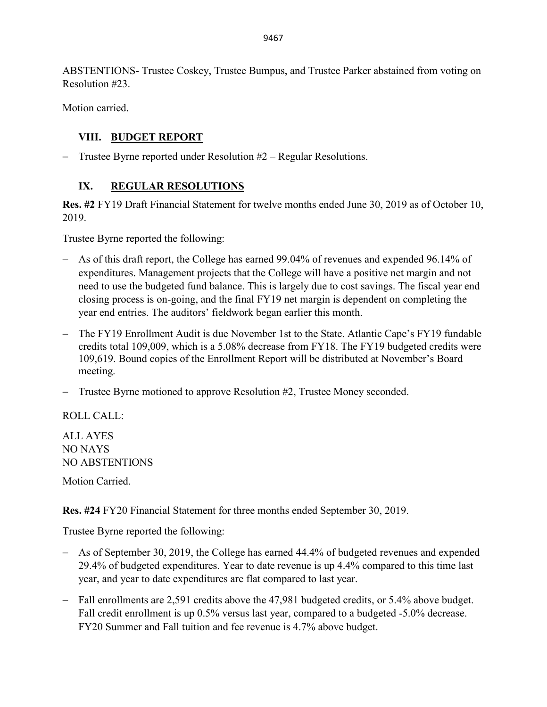ABSTENTIONS- Trustee Coskey, Trustee Bumpus, and Trustee Parker abstained from voting on Resolution #23.

Motion carried.

# **VIII. BUDGET REPORT**

− Trustee Byrne reported under Resolution #2 – Regular Resolutions.

# **IX. REGULAR RESOLUTIONS**

**Res. #2** FY19 Draft Financial Statement for twelve months ended June 30, 2019 as of October 10, 2019.

Trustee Byrne reported the following:

- − As of this draft report, the College has earned 99.04% of revenues and expended 96.14% of expenditures. Management projects that the College will have a positive net margin and not need to use the budgeted fund balance. This is largely due to cost savings. The fiscal year end closing process is on-going, and the final FY19 net margin is dependent on completing the year end entries. The auditors' fieldwork began earlier this month.
- − The FY19 Enrollment Audit is due November 1st to the State. Atlantic Cape's FY19 fundable credits total 109,009, which is a 5.08% decrease from FY18. The FY19 budgeted credits were 109,619. Bound copies of the Enrollment Report will be distributed at November's Board meeting.
- − Trustee Byrne motioned to approve Resolution #2, Trustee Money seconded.

ROLL CALL:

ALL AYES NO NAYS NO ABSTENTIONS

Motion Carried.

**Res. #24** FY20 Financial Statement for three months ended September 30, 2019.

Trustee Byrne reported the following:

- − As of September 30, 2019, the College has earned 44.4% of budgeted revenues and expended 29.4% of budgeted expenditures. Year to date revenue is up 4.4% compared to this time last year, and year to date expenditures are flat compared to last year.
- − Fall enrollments are 2,591 credits above the 47,981 budgeted credits, or 5.4% above budget. Fall credit enrollment is up 0.5% versus last year, compared to a budgeted -5.0% decrease. FY20 Summer and Fall tuition and fee revenue is 4.7% above budget.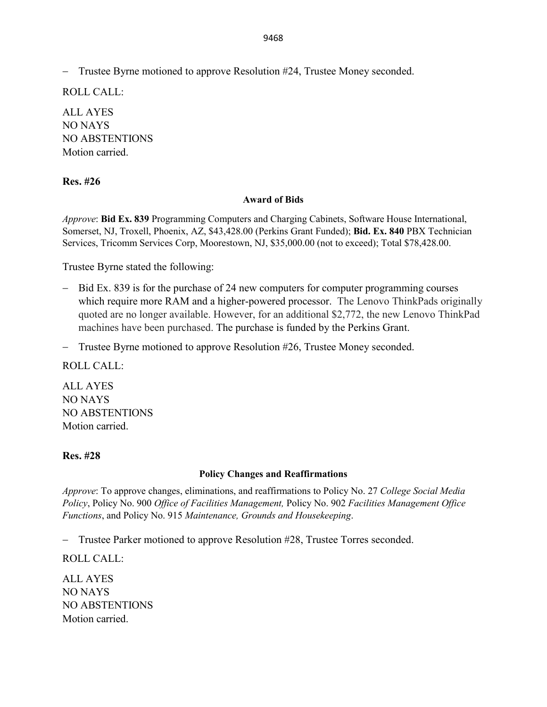9468

− Trustee Byrne motioned to approve Resolution #24, Trustee Money seconded.

ROLL CALL:

ALL AYES NO NAYS NO ABSTENTIONS Motion carried.

# **Res. #26**

#### **Award of Bids**

*Approve*: **Bid Ex. 839** Programming Computers and Charging Cabinets, Software House International, Somerset, NJ, Troxell, Phoenix, AZ, \$43,428.00 (Perkins Grant Funded); **Bid. Ex. 840** PBX Technician Services, Tricomm Services Corp, Moorestown, NJ, \$35,000.00 (not to exceed); Total \$78,428.00.

Trustee Byrne stated the following:

- − Bid Ex. 839 is for the purchase of 24 new computers for computer programming courses which require more RAM and a higher-powered processor. The Lenovo ThinkPads originally quoted are no longer available. However, for an additional \$2,772, the new Lenovo ThinkPad machines have been purchased. The purchase is funded by the Perkins Grant.
- − Trustee Byrne motioned to approve Resolution #26, Trustee Money seconded.

ROLL CALL:

ALL AYES NO NAYS NO ABSTENTIONS Motion carried.

# **Res. #28**

# **Policy Changes and Reaffirmations**

*Approve*: To approve changes, eliminations, and reaffirmations to Policy No. 27 *College Social Media Policy*, Policy No. 900 *Office of Facilities Management,* Policy No. 902 *Facilities Management Office Functions*, and Policy No. 915 *Maintenance, Grounds and Housekeeping*.

− Trustee Parker motioned to approve Resolution #28, Trustee Torres seconded.

ROLL CALL:

ALL AYES NO NAYS NO ABSTENTIONS Motion carried.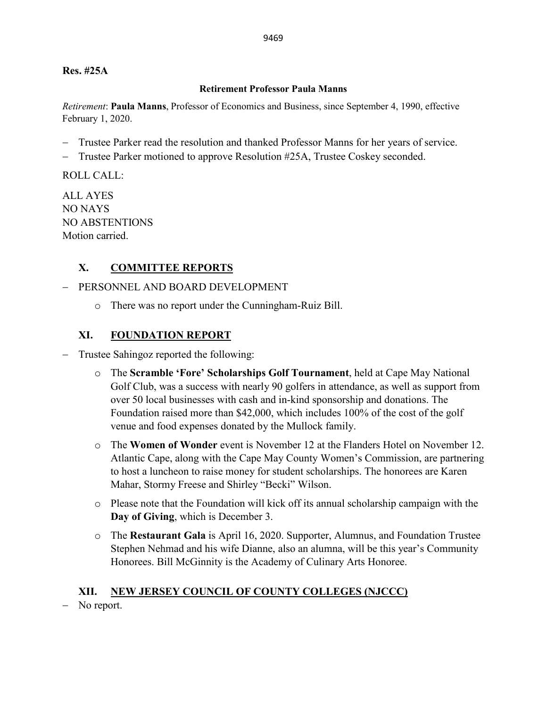## **Res. #25A**

#### **Retirement Professor Paula Manns**

*Retirement*: **Paula Manns**, Professor of Economics and Business, since September 4, 1990, effective February 1, 2020.

- Trustee Parker read the resolution and thanked Professor Manns for her years of service.
- − Trustee Parker motioned to approve Resolution #25A, Trustee Coskey seconded.

ROLL CALL:

ALL AYES NO NAYS NO ABSTENTIONS Motion carried.

# **X. COMMITTEE REPORTS**

# − PERSONNEL AND BOARD DEVELOPMENT

o There was no report under the Cunningham-Ruiz Bill.

# **XI. FOUNDATION REPORT**

− Trustee Sahingoz reported the following:

- o The **Scramble 'Fore' Scholarships Golf Tournament**, held at Cape May National Golf Club, was a success with nearly 90 golfers in attendance, as well as support from over 50 local businesses with cash and in-kind sponsorship and donations. The Foundation raised more than \$42,000, which includes 100% of the cost of the golf venue and food expenses donated by the Mullock family.
- o The **Women of Wonder** event is November 12 at the Flanders Hotel on November 12. Atlantic Cape, along with the Cape May County Women's Commission, are partnering to host a luncheon to raise money for student scholarships. The honorees are Karen Mahar, Stormy Freese and Shirley "Becki" Wilson.
- o Please note that the Foundation will kick off its annual scholarship campaign with the **Day of Giving**, which is December 3.
- o The **Restaurant Gala** is April 16, 2020. Supporter, Alumnus, and Foundation Trustee Stephen Nehmad and his wife Dianne, also an alumna, will be this year's Community Honorees. Bill McGinnity is the Academy of Culinary Arts Honoree.

# **XII. NEW JERSEY COUNCIL OF COUNTY COLLEGES (NJCCC)**

No report.